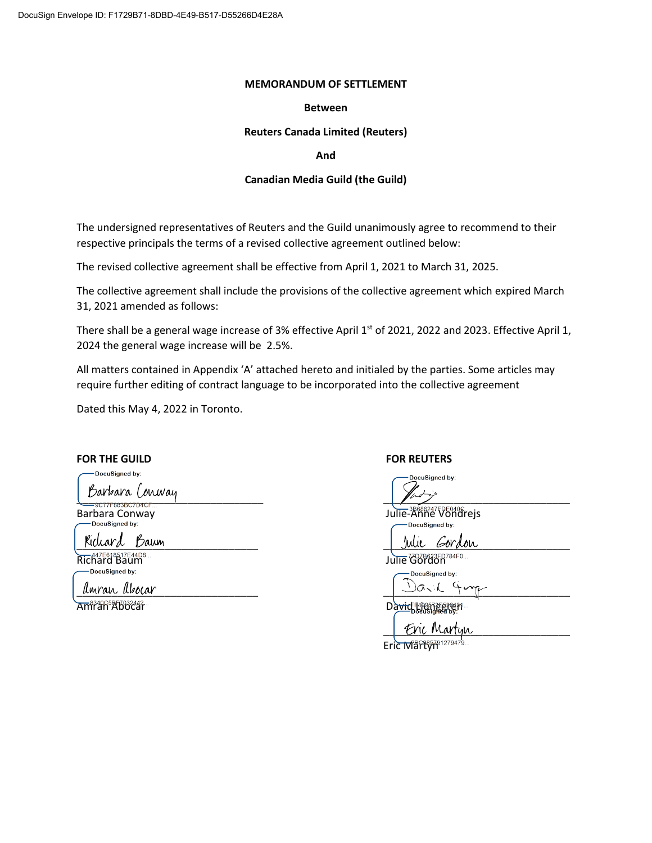## **MEMORANDUM OF SETTLEMENT**

#### **Between**

## **Reuters Canada Limited (Reuters)**

**And** 

#### **Canadian Media Guild (the Guild)**

The undersigned representatives of Reuters and the Guild unanimously agree to recommend to their respective principals the terms of a revised collective agreement outlined below:

The revised collective agreement shall be effective from April 1, 2021 to March 31, 2025.

The collective agreement shall include the provisions of the collective agreement which expired March 31, 2021 amended as follows:

There shall be a general wage increase of 3% effective April 1<sup>st</sup> of 2021, 2022 and 2023. Effective April 1, 2024 the general wage increase will be 2.5%.

All matters contained in Appendix 'A' attached hereto and initialed by the parties. Some articles may require further editing of contract language to be incorporated into the collective agreement

Dated this May 4, 2022 in Toronto.

## **FOR THE GUILD**

DocuSianed by:

Barbara Conway

Barbara Conway

Richard Baum

Richard Baum<br>Richard Baum<br>— DocuSigned by:

Umran Ubocar

 **FOR REUTERS** 

DocuSigned by:  $\frac{1}{2}$ 

Julie-Anne Vondrejs

 $\mathcal{L}$ ordon

Julie <sup>7207B623FD784F0..</sup>

DocuSigned by:  $\frac{1}{1-\frac{1}{1-\frac{1}{1-\frac{1}{1-\frac{1}{1-\frac{1}{1-\frac{1}{1-\frac{1}{1-\frac{1}{1-\frac{1}{1-\frac{1}{1-\frac{1}{1-\frac{1}{1-\frac{1}{1-\frac{1}{1-\frac{1}{1-\frac{1}{1-\frac{1}{1-\frac{1}{1-\frac{1}{1-\frac{1}{1-\frac{1}{1-\frac{1}{1-\frac{1}{1-\frac{1}{1-\frac{1}{1-\frac{1}{1-\frac{1}{1-\frac{1}{1-\frac{1}{1-\frac{1}{1-\frac{1}{1-\frac{1}{1-\frac{1}{1-\frac{1}{1-\frac{1}{1-\frac{1$ 

 $\Delta$ m $^{8340}$ C5BF7032442.<br>Amran Abocar David Ljunggren David Ljunggren David Ljunggren David Ljunggren David Ljunggren David Ljunggren D

 $\frac{1}{2}$  Enc Martyn Eric Martyn<sup>1279479</sup>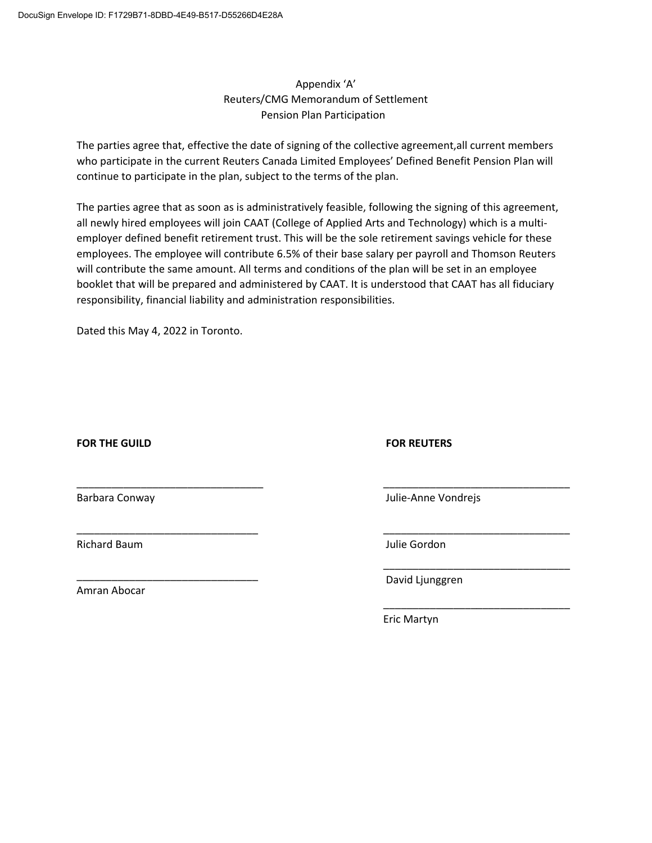# Appendix 'A' Reuters/CMG Memorandum of Settlement Pension Plan Participation

The parties agree that, effective the date of signing of the collective agreement,all current members who participate in the current Reuters Canada Limited Employees' Defined Benefit Pension Plan will continue to participate in the plan, subject to the terms of the plan.

The parties agree that as soon as is administratively feasible, following the signing of this agreement, all newly hired employees will join CAAT (College of Applied Arts and Technology) which is a multiemployer defined benefit retirement trust. This will be the sole retirement savings vehicle for these employees. The employee will contribute 6.5% of their base salary per payroll and Thomson Reuters will contribute the same amount. All terms and conditions of the plan will be set in an employee booklet that will be prepared and administered by CAAT. It is understood that CAAT has all fiduciary responsibility, financial liability and administration responsibilities.

Dated this May 4, 2022 in Toronto.

\_\_\_\_\_\_\_\_\_\_\_\_\_\_\_\_\_\_\_\_\_\_\_\_\_\_\_\_\_\_\_\_

\_\_\_\_\_\_\_\_\_\_\_\_\_\_\_\_\_\_\_\_\_\_\_\_\_\_\_\_\_\_\_

\_\_\_\_\_\_\_\_\_\_\_\_\_\_\_\_\_\_\_\_\_\_\_\_\_\_\_\_\_\_\_

**FOR THE GUILD** 

## **FOR REUTERS**

Barbara Conway

Julie-Anne Vondrejs

\_\_\_\_\_\_\_\_\_\_\_\_\_\_\_\_\_\_\_\_\_\_\_\_\_\_\_\_\_\_\_\_

\_\_\_\_\_\_\_\_\_\_\_\_\_\_\_\_\_\_\_\_\_\_\_\_\_\_\_\_\_\_\_\_

\_\_\_\_\_\_\_\_\_\_\_\_\_\_\_\_\_\_\_\_\_\_\_\_\_\_\_\_\_\_\_\_

\_\_\_\_\_\_\_\_\_\_\_\_\_\_\_\_\_\_\_\_\_\_\_\_\_\_\_\_\_\_\_\_

Richard Baum

Amran Abocar

Julie Gordon

David Ljunggren

Eric Martyn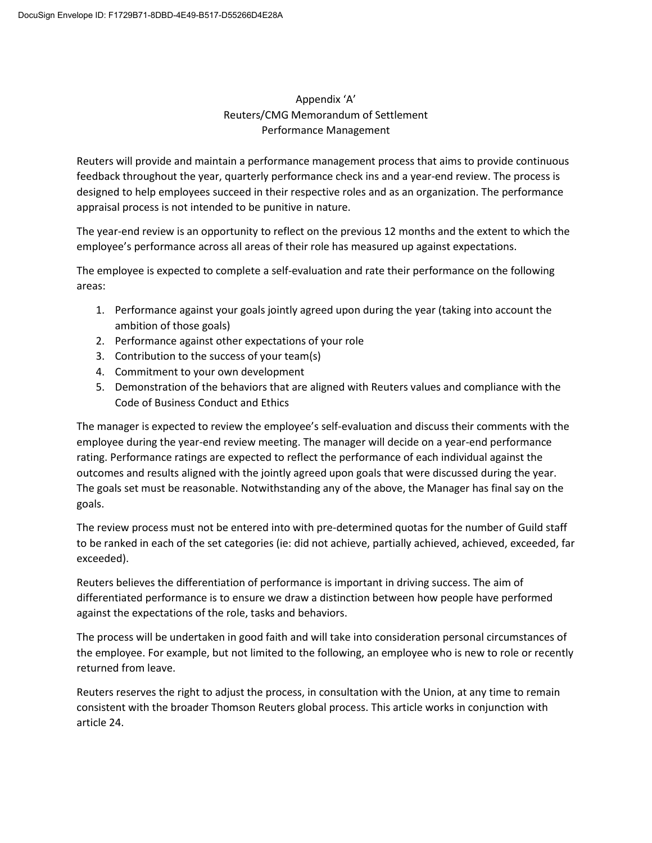# Appendix 'A' Reuters/CMG Memorandum of Settlement Performance Management

Reuters will provide and maintain a performance management process that aims to provide continuous feedback throughout the year, quarterly performance check ins and a year-end review. The process is designed to help employees succeed in their respective roles and as an organization. The performance appraisal process is not intended to be punitive in nature.

The year-end review is an opportunity to reflect on the previous 12 months and the extent to which the employee's performance across all areas of their role has measured up against expectations.

The employee is expected to complete a self-evaluation and rate their performance on the following areas:

- 1. Performance against your goals jointly agreed upon during the year (taking into account the ambition of those goals)
- 2. Performance against other expectations of your role
- 3. Contribution to the success of your team(s)
- 4. Commitment to your own development
- 5. Demonstration of the behaviors that are aligned with Reuters values and compliance with the Code of Business Conduct and Ethics

The manager is expected to review the employee's self-evaluation and discuss their comments with the employee during the year-end review meeting. The manager will decide on a year-end performance rating. Performance ratings are expected to reflect the performance of each individual against the outcomes and results aligned with the jointly agreed upon goals that were discussed during the year. The goals set must be reasonable. Notwithstanding any of the above, the Manager has final say on the goals.

The review process must not be entered into with pre-determined quotas for the number of Guild staff to be ranked in each of the set categories (ie: did not achieve, partially achieved, achieved, exceeded, far exceeded).

Reuters believes the differentiation of performance is important in driving success. The aim of differentiated performance is to ensure we draw a distinction between how people have performed against the expectations of the role, tasks and behaviors.

The process will be undertaken in good faith and will take into consideration personal circumstances of the employee. For example, but not limited to the following, an employee who is new to role or recently returned from leave.

Reuters reserves the right to adjust the process, in consultation with the Union, at any time to remain consistent with the broader Thomson Reuters global process. This article works in conjunction with article 24.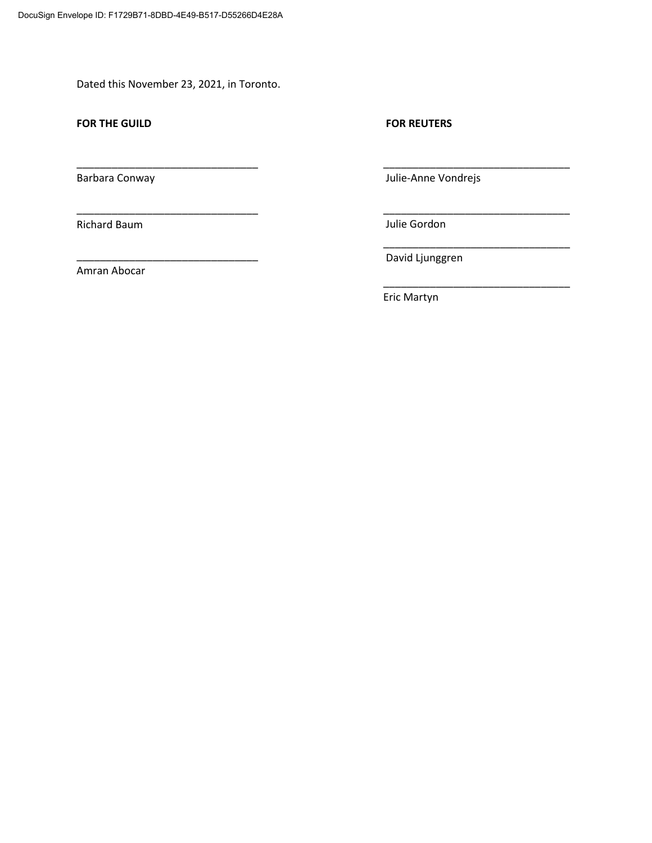Dated this November 23, 2021, in Toronto.

\_\_\_\_\_\_\_\_\_\_\_\_\_\_\_\_\_\_\_\_\_\_\_\_\_\_\_\_\_\_\_

\_\_\_\_\_\_\_\_\_\_\_\_\_\_\_\_\_\_\_\_\_\_\_\_\_\_\_\_\_\_\_

\_\_\_\_\_\_\_\_\_\_\_\_\_\_\_\_\_\_\_\_\_\_\_\_\_\_\_\_\_\_\_

# **FOR THE GUILD**

# **FOR REUTERS**

Barbara Conway

Richard Baum

\_\_\_\_\_\_\_\_\_\_\_\_\_\_\_\_\_\_\_\_\_\_\_\_\_\_\_\_\_\_\_\_

Amran Abocar

David Ljunggren

Julie Gordon

Julie-Anne Vondrejs

\_\_\_\_\_\_\_\_\_\_\_\_\_\_\_\_\_\_\_\_\_\_\_\_\_\_\_\_\_\_\_\_

\_\_\_\_\_\_\_\_\_\_\_\_\_\_\_\_\_\_\_\_\_\_\_\_\_\_\_\_\_\_\_\_

\_\_\_\_\_\_\_\_\_\_\_\_\_\_\_\_\_\_\_\_\_\_\_\_\_\_\_\_\_\_\_\_

Eric Martyn